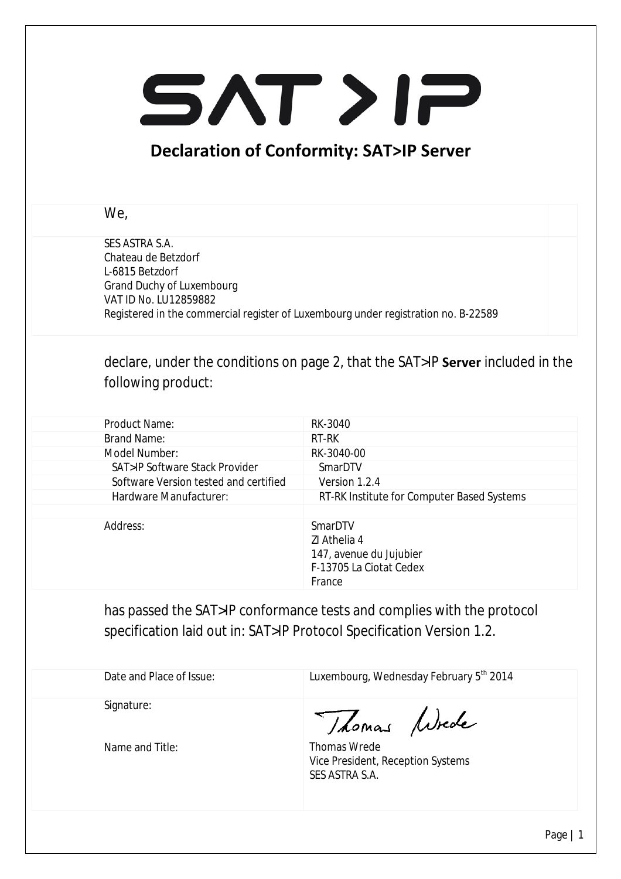## SAT>IP

## **Declaration of Conformity: SAT>IP Server**

## We,

SES ASTRA S.A. Chateau de Betzdorf L-6815 Betzdorf Grand Duchy of Luxembourg VAT ID No. LU12859882 Registered in the commercial register of Luxembourg under registration no. B-22589

declare, under the conditions on page 2, that the SAT>IP **Server** included in the following product:

| Product Name:                            | RK-3040                                                                                 |
|------------------------------------------|-----------------------------------------------------------------------------------------|
| <b>Brand Name:</b>                       | RT-RK                                                                                   |
| Model Number:                            | RK-3040-00                                                                              |
| <b>SAT&gt;IP Software Stack Provider</b> | SmarDTV                                                                                 |
| Software Version tested and certified    | Version 1.2.4                                                                           |
| Hardware Manufacturer:                   | RT-RK Institute for Computer Based Systems                                              |
|                                          |                                                                                         |
| Address:                                 | SmarDTV<br>ZI Athelia 4<br>147, avenue du Jujubier<br>F-13705 La Ciotat Cedex<br>France |

has passed the SAT>IP conformance tests and complies with the protocol specification laid out in: SAT>IP Protocol Specification Version 1.2.

| Date and Place of Issue: | Luxembourg, Wednesday February 5th 2014                             |
|--------------------------|---------------------------------------------------------------------|
| Signature:               | Thomas Wiede                                                        |
| Name and Title:          | Thomas Wrede<br>Vice President, Reception Systems<br>SES ASTRA S.A. |